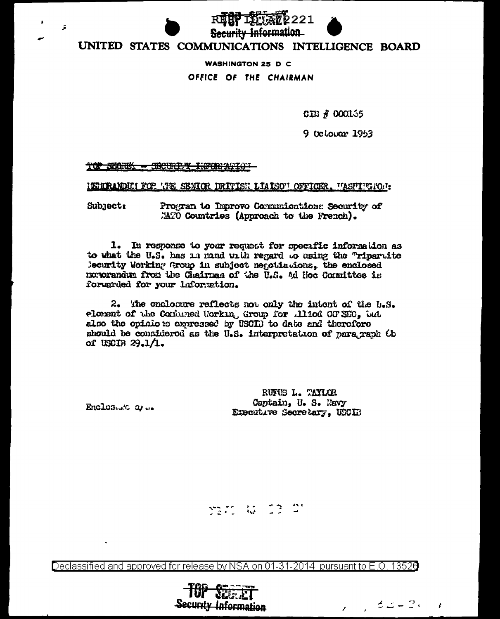## UNITED STATES COMMUNICATIONS INTELLIGENCE BOARD

Security Information

TTFTAT2221

**WASHINGTON 25 D C** 

OFFICE OF THE CHAIRMAN

CIB # 000155

**9 October 1953** 

TOP SUCHER - CECURITY LIFERENTO"

INFICRANDUI FOR THE SENIOR DRITISH LIAISON OFFICER. WASHINGTON:

Subject: Program to Improve Communications Security of MATO Countries (Approach to the French).

1. In response to your request for specific information as to what the U.S. has an mand unth regard to using the "ripartite Security Working Group in subject negotiations, the enclosed nororandum from the Chairman of the U.S. Ad Hoc Conmittee is forwarded for your information.

2. The enclosure reflects not only the intent of the U.S. element of the Communed Workin, Group for Alicd CO SEC, but also the opinions expressed by USCID to date and therefore should be considered as the U.S. interpretation of para raph  $\omega$ of USCIB  $29.1/1$ .

Enclosure april

 $\ddot{\phantom{1}}$ 

 $\tilde{\mathbf{z}}$ 

RUFUS L. TAYLOR Captain, U. S. Navy Executive Secretary, USCIB

 $1, 3, 4$   $2 - 2$ 

MARINE TO DI

Declassified and approved for release by NSA on 01-31-2014 pursuant to E.O. 13526

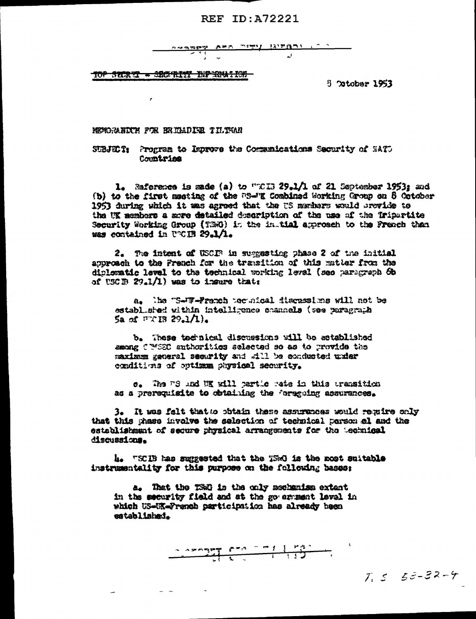## **REF ID: A72221**

<u>v J Ishalti İtakın verd</u> 

TOP SURE - SECTIVI DE ROLLOS

8 Totobar 1953

MENGRAHITH FOR BRIGADIER TILTMAN

SUBJECT: Program to Reprove the Communications Security of SATU Countries

1. Maforence is sade (a) to "TID 29.1/1 of 21 September 1953; and (b) to the first meeting of the 78-FK Combined Working Group on 8 October 1953 during which it was agreed that the US members would provide to the UK members a more detailed description of the use of the Tripertite Security Working Group (T3MO) in the in. tial approach to the French than was contained in UVCIB 29.1/1.

2. The intent of USCP in suggesting phase 2 of the initial approach to the French for the transition of this matter from the diplematic level to the technical working level (see paragraph 6b) of USCE  $29.1/1$ ) was to impure that:

a. The "S-W-Prench technical discussions will not be established within intelligence channels (see persgraph  $5a \ll \Gamma \times 13.29.1/1$ .

b. These technical discussions will be actablished among f WS2C anthorities selected so as to provide the maximum general security and will be conducted wrier conditions of optimum physical security.

e. The "S And WE will partic rate in this transition as a prerequisite to obtaining the foregoing accurances.

3. It was falt that to obtain these assurances would reguire coly that this shase involve the selection of technical Derson al and the establishment of secure physical arrangements for the technical discussions.

h. "SCIB has suggested that the 1500 is the most suitable instrumentality for this purpose on the following bases:

a. That the TSMG is the only mechanism extant in the security field and at the go arrest level in which US-UK-French participation has already been established.

 $\omega = \omega$ 

 $\frac{1}{\sqrt{2}}$ 

 $T_1 5 53 - 32 - 4$